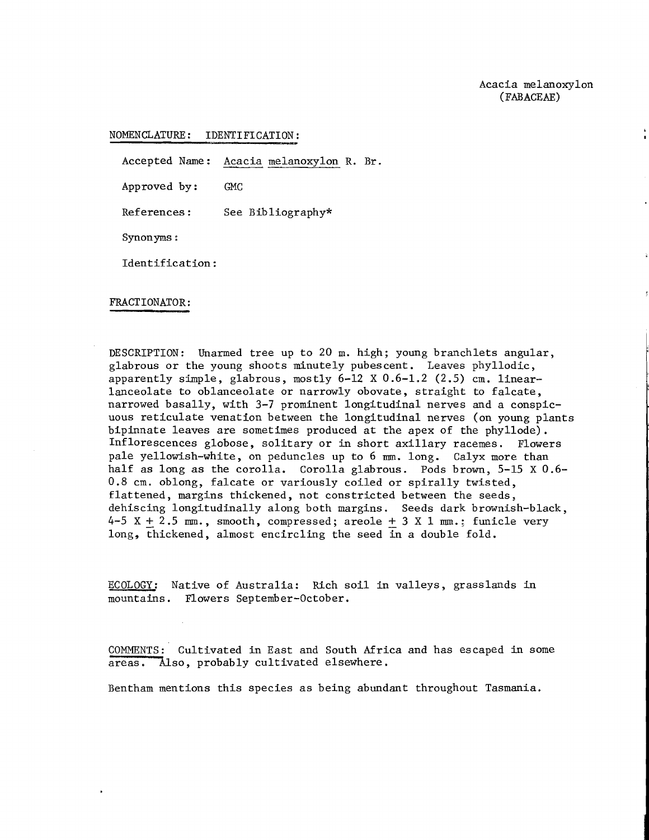NOMENCLATURE: IDENTIFICATION:

Accepted Name: Acacia melanoxylon R. Br.

Approved by : GMC

References : See Bibliography\*

Synonyms :

Identification :

## FRACT IONATOR :

DESCRIPTION: Unarmed tree up to 20 m. high; young branchlets angular, glabrous or the young shoots minutely pubescent. Leaves phyllodic, apparently simple, glabrous, mostly  $6-12 \times 0.6-1.2$  (2.5) cm. linearlanceolate to oblanceolate or narrowly obovate, straight to falcate, narrowed basally, with **3-7** prominent longitudinal nerves and a conspicuous reticulate venation between the longitudinal nerves (on young plants bipinnate leaves are sometimes produced at the apex of the phyllode). Inflorescences globose, solitary or in short axillary racemes. Flowers pale yellowish-white, on peduncles up to 6 mm. long. Calyx more than half as long as the corolla. Corolla glabrous. Pods brown, 5-15 X 0.6-0.8 cm. oblong, falcate or variously coiled or spirally twisted, flattened, margins thickened, not constricted between the seeds, dehiscing longitudinally along both margins. Seeds dark brownish-black,  $4-5$  X  $+$  2.5 mm., smooth, compressed; areole  $+$  3 X 1 mm.; funicle very long, thickened, almost encircling the seed in a double fold.

ECOLOGY: Native of Australia: Rich soil in valleys, grasslands in mountains. Flowers September-October.

COMMENTS: Cultivated in East and South Africa and has escaped in some areas. Also, probably cultivated elsewhere.

Bentham mentions this species as being abundant throughout Tasmania.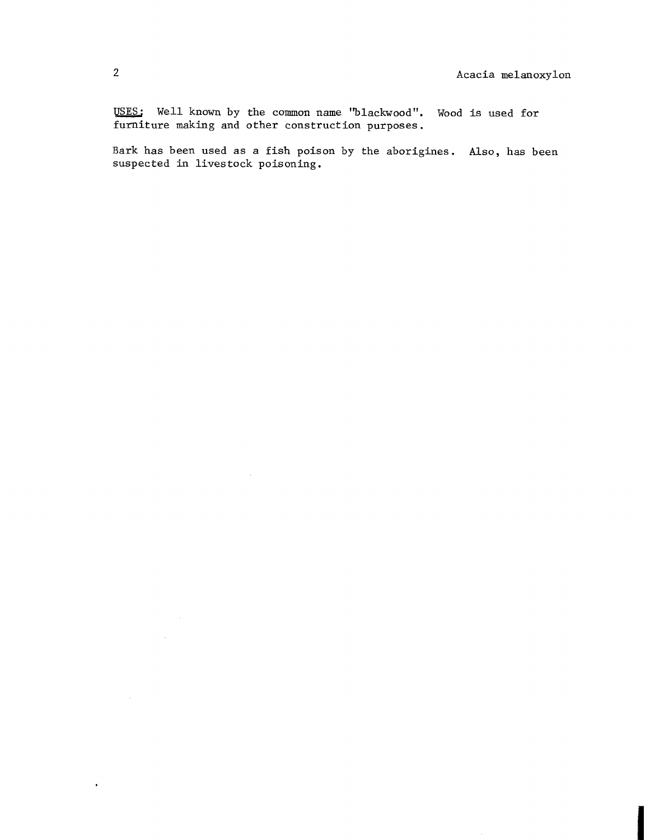$\mathbf{r}$ 

USES: Well known by the common name "blackwood". Wood is used for furniture making and other construction purposes.

Bark has been used as a fish poison by the aborigines. Also, has been suspected in livestock poisoning.

 $\mathcal{L}_{\mathcal{L}}$ 

 $\bullet$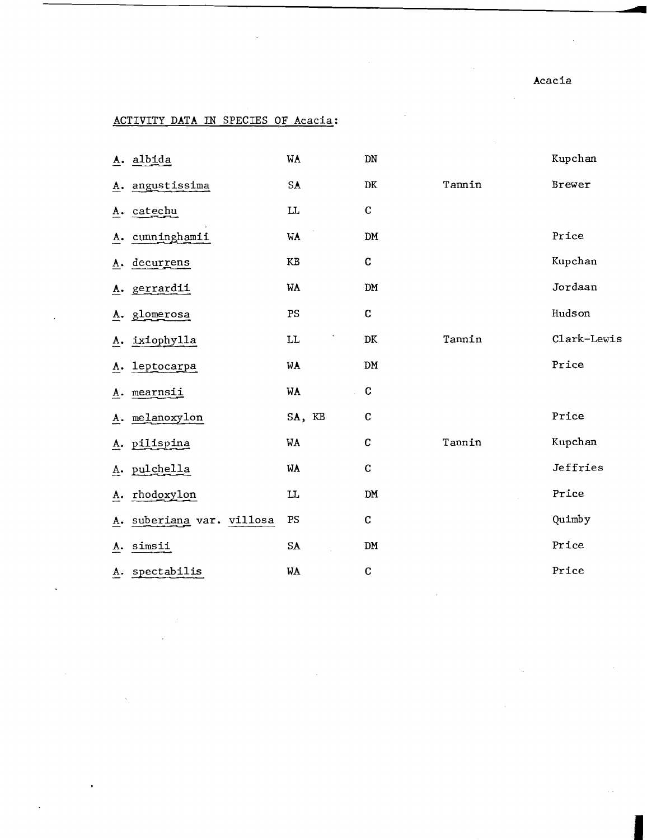Acacia

## ACTIVITY DATA IN SPECIES OF Acacia:

|    | A. albida                 | WA                     | DN          |        | Kupchan     |
|----|---------------------------|------------------------|-------------|--------|-------------|
|    | A. angustissima           | SA                     | $\rm DK$    | Tannin | Brewer      |
|    | A. catechu                | $\mathbf{L}\mathbf{L}$ | $\mathbf C$ |        |             |
| A. | cunninghamii              | WA                     | DM          |        | Price       |
| A. | decurrens                 | $\mathbf{KB}$          | C           |        | Kupchan     |
|    | A. gerrardii              | WA                     | DM          |        | Jordaan     |
| Α. | glomerosa                 | PS                     | $\mathbf C$ |        | Hudson      |
|    | A. ixiophylla             | LL                     | DK          | Tannin | Clark-Lewis |
| A. | leptocarpa                | WA                     | DM          |        | Price       |
|    | A. mearnsii               | WA<br>l.               | $\mathbf c$ |        |             |
|    | A. melanoxylon            | SA, KB                 | $\mathbf C$ |        | Price       |
|    | A. pilispina              | WA                     | $\mathbf C$ | Tannin | Kupchan     |
|    | A. pulchella              | WA                     | $\mathbf C$ |        | Jeffries    |
|    | A. rhodoxylon             | $\mathbf{L}$           | DM          |        | Price       |
|    | A. suberiana var. villosa | PS                     | $\mathbf C$ |        | Quimby      |
| A. | simsii                    | ${\sf SA}$             | <b>DM</b>   |        | Price       |
|    | A. spectabilis            | WA                     | $\mathbf C$ |        | Price       |
|    |                           |                        |             |        |             |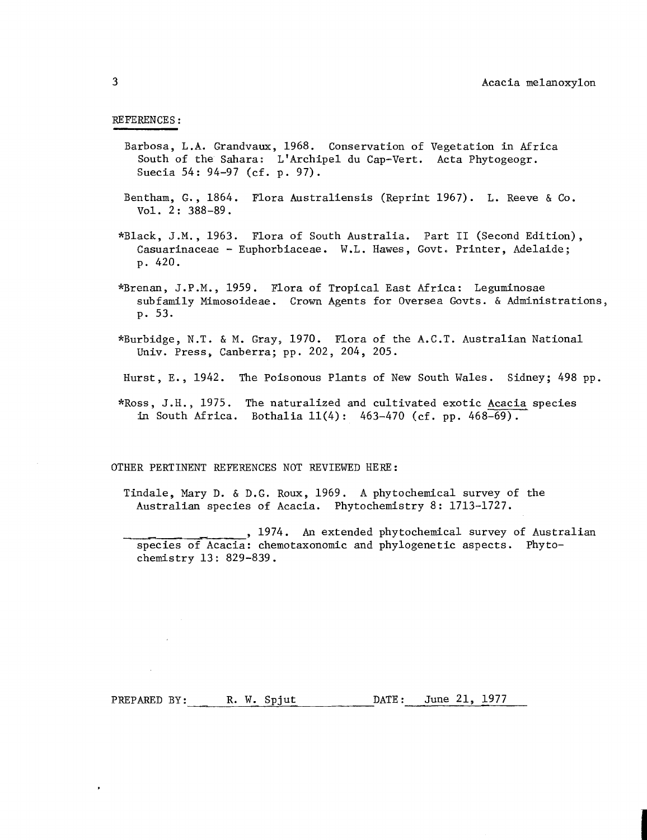## REFERENCES :

- Barbosa, L .A. Grandvaux, 1968. Conservation of Vegetation in Africa South of the Sahara: LIArchipel du Cap-Vert. Acta Phytogeogr. Suecia 54:  $94-97$  (cf. p. 97).
- Bentham, G., 1864. Flora Australiensis (Reprint 1967). L. Reeve & Co. Vol. 2: 388-89.
- \*Black, J.M., 1963. Flora of South Australia. Part I1 (Second Edition), Casuarinaceae - Euphorbiaceae. W.L. Hawes, Govt. Printer, Adelaide; p. 420.
- \*Brenan, J.P.M., 1959. Flora of Tropical East Africa: Leguminosae subfamily Mimosoideae. Crown Agents for Oversea Govts. & Administrations, p. 53.
- \*Burbidge, N.T. & M. Gray, 1970. Flora of the A.C.T. Australian National Univ. Press, Canberra; pp. 202, 204, 205.
- Burst, E., 1942. The Poisonous Plants of New South Wales. Sidney; 498 pp.
- \*Ross, J.H., 1975. The naturalized and cultivated exotic Acacia species in South Africa. Bothalia ll(4): 463-470 (cf. pp. 468-69).

OTHER PERTINENT REFERENCES NOT REVIEWED HERE:

Tindale, Mary D. & D.G. Roux, 1969. A phytochemical survey of the Australian species of Acacia. Phytochemistry 8: 1713-1727.

, 1974. **An** extended phytochemical survey of Australian species of Acacia: chemotaxonomic and phylogenetic aspects. Phytochemistry 13: 829-839.